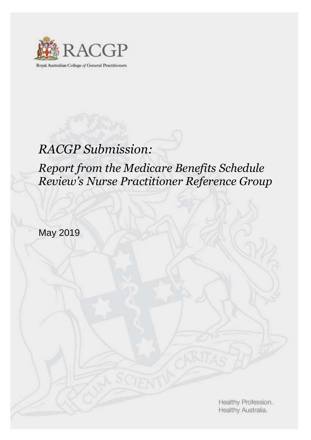

Royal Australian College of General Practitioners

# *RACGP Submission:*

# *Report from the Medicare Benefits Schedule Review's Nurse Practitioner Reference Group*

May 2019

Healthy Profession. Healthy Australia.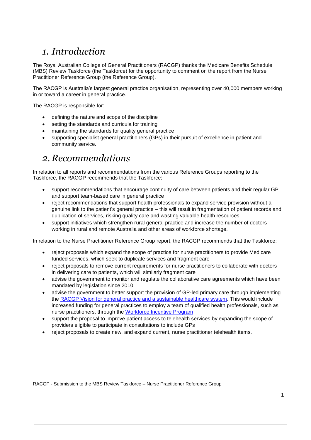# *1. Introduction*

The Royal Australian College of General Practitioners (RACGP) thanks the Medicare Benefits Schedule (MBS) Review Taskforce (the Taskforce) for the opportunity to comment on the report from the Nurse Practitioner Reference Group (the Reference Group).

The RACGP is Australia's largest general practice organisation, representing over 40,000 members working in or toward a career in general practice.

The RACGP is responsible for:

RACGP

- defining the nature and scope of the discipline
- setting the standards and curricula for training
- maintaining the standards for quality general practice
- supporting specialist general practitioners (GPs) in their pursuit of excellence in patient and community service.

## *2. Recommendations*

In relation to all reports and recommendations from the various Reference Groups reporting to the Taskforce, the RACGP recommends that the Taskforce:

- support recommendations that encourage continuity of care between patients and their regular GP and support team-based care in general practice
- reject recommendations that support health professionals to expand service provision without a genuine link to the patient's general practice – this will result in fragmentation of patient records and duplication of services, risking quality care and wasting valuable health resources
- support initiatives which strengthen rural general practice and increase the number of doctors working in rural and remote Australia and other areas of workforce shortage.

In relation to the Nurse Practitioner Reference Group report, the RACGP recommends that the Taskforce:

- reject proposals which expand the scope of practice for nurse practitioners to provide Medicare funded services, which seek to duplicate services and fragment care
- reject proposals to remove current requirements for nurse practitioners to collaborate with doctors in delivering care to patients, which will similarly fragment care
- advise the government to monitor and regulate the collaborative care agreements which have been mandated by legislation since 2010
- advise the government to better support the provision of GP-led primary care through implementing the [RACGP Vision for general practice and a sustainable healthcare system.](https://www.racgp.org.au/the-racgp/about-us/vision-and-strategy/vision-for-general-practice) This would include increased funding for general practices to employ a team of qualified health professionals, such as nurse practitioners, through the [Workforce Incentive Program](http://www.health.gov.au/internet/main/publishing.nsf/Content/work-pr-wip-workforce-incentive-program)
- support the proposal to improve patient access to telehealth services by expanding the scope of providers eligible to participate in consultations to include GPs
- reject proposals to create new, and expand current, nurse practitioner telehealth items.

RACGP - Submission to the MBS Review Taskforce – Nurse Practitioner Reference Group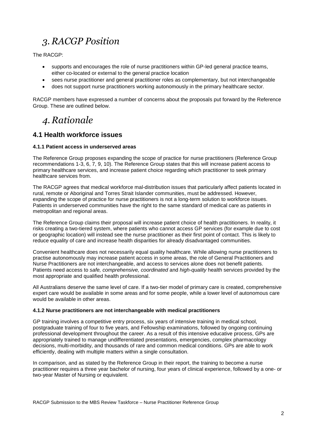# *3. RACGP Position*

The RACGP:

- supports and encourages the role of nurse practitioners within GP-led general practice teams, either co-located or external to the general practice location
- sees nurse practitioner and general practitioner roles as complementary, but not interchangeable
- does not support nurse practitioners working autonomously in the primary healthcare sector.

RACGP members have expressed a number of concerns about the proposals put forward by the Reference Group. These are outlined below.

# *4. Rationale*

### **4.1 Health workforce issues**

#### **4.1.1 Patient access in underserved areas**

The Reference Group proposes expanding the scope of practice for nurse practitioners (Reference Group recommendations 1-3, 6, 7, 9, 10). The Reference Group states that this will increase patient access to primary healthcare services, and increase patient choice regarding which practitioner to seek primary healthcare services from.

The RACGP agrees that medical workforce mal-distribution issues that particularly affect patients located in rural, remote or Aboriginal and Torres Strait Islander communities, must be addressed. However, expanding the scope of practice for nurse practitioners is not a long-term solution to workforce issues. Patients in underserved communities have the right to the same standard of medical care as patients in metropolitan and regional areas.

The Reference Group claims their proposal will increase patient choice of health practitioners. In reality, it risks creating a two-tiered system, where patients who cannot access GP services (for example due to cost or geographic location) will instead see the nurse practitioner as their first point of contact. This is likely to reduce equality of care and increase health disparities for already disadvantaged communities.

Convenient healthcare does not necessarily equal quality healthcare. While allowing nurse practitioners to practise autonomously may increase patient access in some areas, the role of General Practitioners and Nurse Practitioners are not interchangeable, and access to services alone does not benefit patients. Patients need access to *safe, comprehensive, coordinated* and *high-quality* health services provided by the most appropriate and qualified health professional.

All Australians deserve the same level of care. If a two-tier model of primary care is created, comprehensive expert care would be available in some areas and for some people, while a lower level of autonomous care would be available in other areas.

#### **4.1.2 Nurse practitioners are not interchangeable with medical practitioners**

GP training involves a competitive entry process, six years of intensive training in medical school, postgraduate training of four to five years, and Fellowship examinations, followed by ongoing continuing professional development throughout the career. As a result of this intensive educative process, GPs are appropriately trained to manage undifferentiated presentations, emergencies, complex pharmacology decisions, multi-morbidity, and thousands of rare and common medical conditions. GPs are able to work efficiently, dealing with multiple matters within a single consultation.

In comparison, and as stated by the Reference Group in their report, the training to become a nurse practitioner requires a three year bachelor of nursing, four years of clinical experience, followed by a one- or two-year Master of Nursing or equivalent.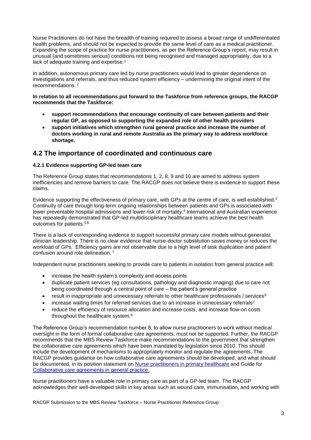Nurse Practitioners do not have the breadth of training required to assess a broad range of undifferentiated health problems, and should not be expected to provide the same level of care as a medical practitioner. Expanding the scope of practice for nurse practitioners, as per the Reference Group's report, may result in unusual (and sometimes serious) conditions not being recognised and managed appropriately, due to a lack of adequate training and expertise.<sup>1</sup>

In addition, autonomous primary care led by nurse practitioners would lead to greater dependence on investigations and referrals, and thus reduced system efficiency – undermining the original intent of the recommendations. 2

#### **In relation to all recommendations put forward to the Taskforce from reference groups, the RACGP recommends that the Taskforce:**

- **support recommendations that encourage continuity of care between patients and their regular GP, as opposed to supporting the expanded role of other health providers**
- **support initiatives which strengthen rural general practice and increase the number of doctors working in rural and remote Australia as the primary way to address workforce shortage.**

### **4.2 The importance of coordinated and continuous care**

#### **4.2.1 Evidence supporting GP-led team care**

The Reference Group states that recommendations 1, 2, 8, 9 and 10 are aimed to address system inefficiencies and remove barriers to care. The RACGP does not believe there is evidence to support these claims.

Evidence supporting the effectiveness of primary care, with GPs at the centre of care, is well established.<sup>3</sup> Continuity of care through long-term ongoing relationships between patients and GPs is associated with lower preventable hospital admissions and lower risk of mortality.<sup>4</sup> International and Australian experience has repeatedly demonstrated that GP-led multidisciplinary healthcare teams achieve the best health outcomes for patients.5,6

There is a lack of corresponding evidence to support successful primary care models without generalist clinician leadership. There is no clear evidence that nurse-doctor substitution saves money or reduces the workload of GPs. Efficiency gains are not observable due to a high level of task duplication and patient confusion around role delineation. <sup>7</sup>

Independent nurse practitioners seeking to provide care to patients in isolation from general practice will:

- increase the health system's complexity and access points
- duplicate patient services (eg consultations, pathology and diagnostic imaging) due to care not being coordinated through a central point of care – the patient's general practice
- result in inappropriate and unnecessary referrals to other healthcare professionals / services<sup>8</sup>
- $\bullet$  increase waiting times for referred services due to an increase in unnecessary referrals<sup>2</sup>
- reduce the efficiency of resource allocation and increase costs, and increase flow-on costs throughout the healthcare system.<sup>9</sup>

The Reference Group's recommendation number 8, to allow nurse practitioners to work without medical oversight in the form of formal collaborative care agreements, must not be supported. Further, the RACGP recommends that the MBS Review Taskforce make recommendations to the government that strengthen the collaborative care agreements which have been mandated by legislation since 2010. This should include the development of mechanisms to appropriately monitor and regulate the agreements. The RACGP provides guidance on how collaborative care agreements should be developed, and what should be documented, in its position statement on [Nurse practitioners in primary healthcare](https://www.racgp.org.au/advocacy/position-statements/view-all-position-statements/health-systems-and-environmental/nurse-practitioners-in-primary-healthcare) and Guide for [Collaborative care agreements in general practice.](https://www.racgp.org.au/FSDEDEV/media/documents/RACGP/Position%20statements/Collaborative-care-agreement.pdf)

Nurse practitioners have a valuable role in primary care as part of a GP-led team. The RACGP acknowledges their well-developed skills in key areas such as wound care, immunisation, and working with

RACGP Submission to the MBS Review Taskforce – Nurse Practitioner Reference Group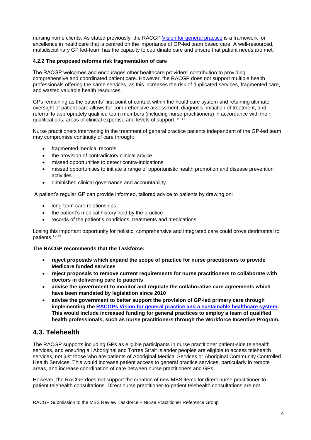nursing home clients. As stated previously, the RACGP [Vision for general practice](https://www.racgp.org.au/FSDEDEV/media/documents/RACGP/Advocacy/White-paer-Vision-for-general-practice-and-a-sustainable-healthcare-system.pdf) is a framework for excellence in healthcare that is centred on the importance of GP-led team based care. A well-resourced, multidisciplinary GP led-team has the capacity to coordinate care and ensure that patient needs are met.

### **4.2.2 The proposed reforms risk fragmentation of care**

The RACGP welcomes and encourages other healthcare providers' contribution to providing comprehensive and coordinated patient care. However, the RACGP does not support multiple health professionals offering the same services, as this increases the risk of duplicated services, fragmented care, and wasted valuable health resources.

GPs remaining as the patients' first point of contact within the healthcare system and retaining ultimate oversight of patient care allows for comprehensive assessment, diagnosis, initiation of treatment, and referral to appropriately qualified team members (including nurse practitioners) in accordance with their qualifications, areas of clinical expertise and levels of support. 10,11

Nurse practitioners intervening in the treatment of general practice patients independent of the GP-led team may compromise continuity of care through:

- fragmented medical records
- the provision of contradictory clinical advice
- missed opportunities to detect contra-indications
- missed opportunities to initiate a range of opportunistic health promotion and disease prevention activities
- diminished clinical governance and accountability.

A patient's regular GP can provide informed, tailored advice to patients by drawing on:

- long-term care relationships
- the patient's medical history held by the practice
- records of the patient's conditions, treatments and medications.

Losing this important opportunity for holistic, comprehensive and integrated care could prove detrimental to patients.12,13

#### **The RACGP recommends that the Taskforce:**

- **reject proposals which expand the scope of practice for nurse practitioners to provide Medicare funded services**
- **reject proposals to remove current requirements for nurse practitioners to collaborate with doctors in delivering care to patients**
- **advise the government to monitor and regulate the collaborative care agreements which have been mandated by legislation since 2010**
- **advise the government to better support the provision of GP-led primary care through implementing the [RACGPs Vision for general practice and a sustainable healthcare system.](https://www.racgp.org.au/the-racgp/about-us/vision-and-strategy/vision-for-general-practice) This would include increased funding for general practices to employ a team of qualified health professionals, such as nurse practitioners through the Workforce Incentive Program.**

## **4.3. Telehealth**

The RACGP supports including GPs as eligible participants in nurse practitioner patient-side telehealth services, and ensuring all Aboriginal and Torres Strait Islander peoples are eligible to access telehealth services, not just those who are patients of Aboriginal Medical Services or Aboriginal Community Controlled Health Services. This would increase patient access to general practice services, particularly in remote areas, and increase coordination of care between nurse practitioners and GPs.

However, the RACGP does not support the creation of new MBS items for direct nurse practitioner-topatient telehealth consultations. Direct nurse practitioner-to-patient telehealth consultations are not

RACGP Submission to the MBS Review Taskforce – Nurse Practitioner Reference Group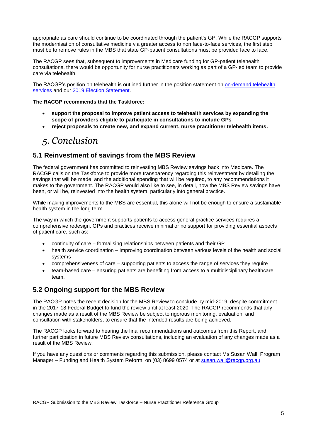appropriate as care should continue to be coordinated through the patient's GP. While the RACGP supports the modernisation of consultative medicine via greater access to non face-to-face services, the first step must be to remove rules in the MBS that state GP-patient consultations must be provided face to face.

The RACGP sees that, subsequent to improvements in Medicare funding for GP-patient telehealth consultations, there would be opportunity for nurse practitioners working as part of a GP-led team to provide care via telehealth.

The RACGP's position on telehealth is outlined further in the position statement on on-demand telehealth [services](https://www.racgp.org.au/advocacy/position-statements/view-all-position-statements/health-systems-and-environmental/on-demand-telehealth-services) and our [2019 Election Statement.](https://www.racgp.org.au/FSDEDEV/media/documents/RACGP/Elections/Federal%20election%202019/RACGP-federal-election-statement-2019.pdf)

**The RACGP recommends that the Taskforce:** 

- **support the proposal to improve patient access to telehealth services by expanding the scope of providers eligible to participate in consultations to include GPs**
- **reject proposals to create new, and expand current, nurse practitioner telehealth items.**

# *5. Conclusion*

## **5.1 Reinvestment of savings from the MBS Review**

The federal government has committed to reinvesting MBS Review savings back into Medicare. The RACGP calls on the Taskforce to provide more transparency regarding this reinvestment by detailing the savings that will be made, and the additional spending that will be required, to any recommendations it makes to the government. The RACGP would also like to see, in detail, how the MBS Review savings have been, or will be, reinvested into the health system, particularly into general practice.

While making improvements to the MBS are essential, this alone will not be enough to ensure a sustainable health system in the long term.

The way in which the government supports patients to access general practice services requires a comprehensive redesign. GPs and practices receive minimal or no support for providing essential aspects of patient care, such as:

- continuity of care formalising relationships between patients and their GP
- health service coordination improving coordination between various levels of the health and social systems
- comprehensiveness of care supporting patients to access the range of services they require
- team-based care ensuring patients are benefiting from access to a multidisciplinary healthcare team.

## **5.2 Ongoing support for the MBS Review**

The RACGP notes the recent decision for the MBS Review to conclude by mid-2019, despite commitment in the 2017-18 Federal Budget to fund the review until at least 2020. The RACGP recommends that any changes made as a result of the MBS Review be subject to rigorous monitoring, evaluation, and consultation with stakeholders, to ensure that the intended results are being achieved.

The RACGP looks forward to hearing the final recommendations and outcomes from this Report, and further participation in future MBS Review consultations, including an evaluation of any changes made as a result of the MBS Review.

If you have any questions or comments regarding this submission, please contact Ms Susan Wall, Program Manager - Funding and Health System Reform, on (03) 8699 0574 or at [susan.wall@racgp.org.au](mailto:susan.wall@racgp.org.au)